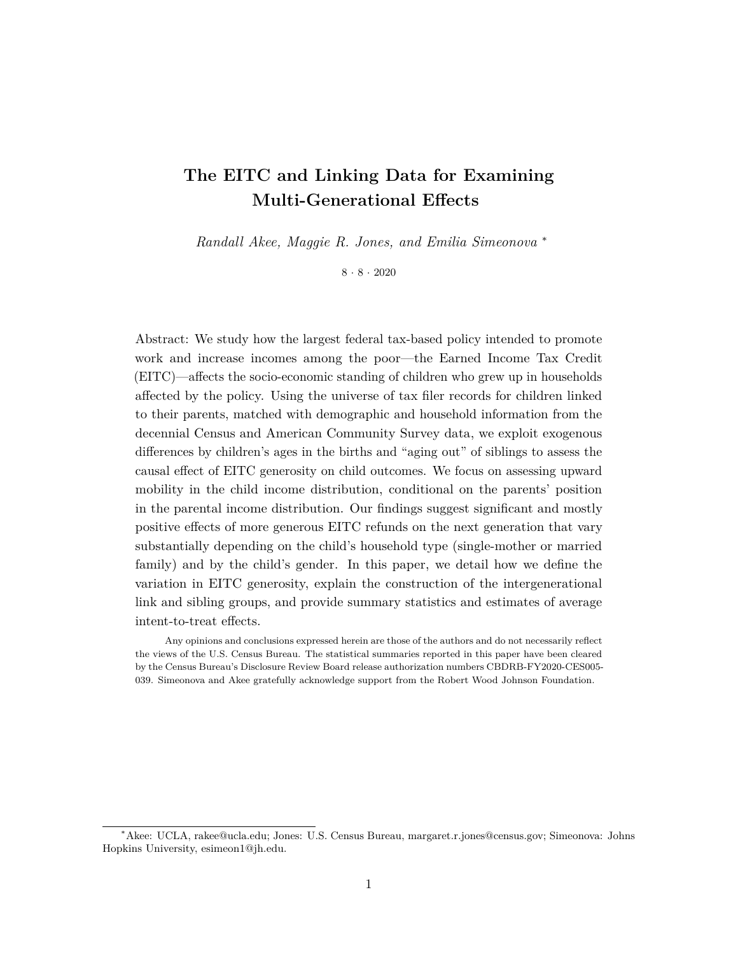## **The EITC and Linking Data for Examining Multi-Generational Effects**

*Randall Akee, Maggie R. Jones, and Emilia Simeonova* <sup>∗</sup>

 $8 \cdot 8 \cdot 2020$ 

Abstract: We study how the largest federal tax-based policy intended to promote work and increase incomes among the poor—the Earned Income Tax Credit (EITC)—affects the socio-economic standing of children who grew up in households affected by the policy. Using the universe of tax filer records for children linked to their parents, matched with demographic and household information from the decennial Census and American Community Survey data, we exploit exogenous differences by children's ages in the births and "aging out" of siblings to assess the causal effect of EITC generosity on child outcomes. We focus on assessing upward mobility in the child income distribution, conditional on the parents' position in the parental income distribution. Our findings suggest significant and mostly positive effects of more generous EITC refunds on the next generation that vary substantially depending on the child's household type (single-mother or married family) and by the child's gender. In this paper, we detail how we define the variation in EITC generosity, explain the construction of the intergenerational link and sibling groups, and provide summary statistics and estimates of average intent-to-treat effects.

Any opinions and conclusions expressed herein are those of the authors and do not necessarily reflect the views of the U.S. Census Bureau. The statistical summaries reported in this paper have been cleared by the Census Bureau's Disclosure Review Board release authorization numbers CBDRB-FY2020-CES005- 039. Simeonova and Akee gratefully acknowledge support from the Robert Wood Johnson Foundation.

<sup>∗</sup>Akee: UCLA, rakee@ucla.edu; Jones: U.S. Census Bureau, margaret.r.jones@census.gov; Simeonova: Johns Hopkins University, esimeon1@jh.edu.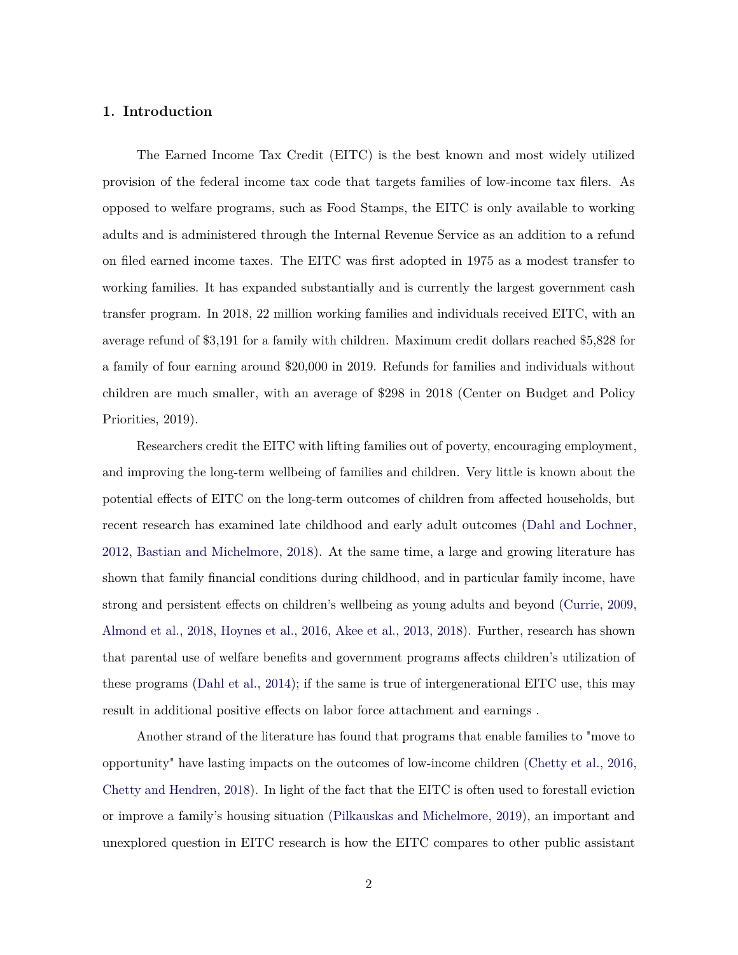## **1. Introduction**

The Earned Income Tax Credit (EITC) is the best known and most widely utilized provision of the federal income tax code that targets families of low-income tax filers. As opposed to welfare programs, such as Food Stamps, the EITC is only available to working adults and is administered through the Internal Revenue Service as an addition to a refund on filed earned income taxes. The EITC was first adopted in 1975 as a modest transfer to working families. It has expanded substantially and is currently the largest government cash transfer program. In 2018, 22 million working families and individuals received EITC, with an average refund of \$3,191 for a family with children. Maximum credit dollars reached \$5,828 for a family of four earning around \$20,000 in 2019. Refunds for families and individuals without children are much smaller, with an average of \$298 in 2018 (Center on Budget and Policy Priorities, 2019).

Researchers credit the EITC with lifting families out of poverty, encouraging employment, and improving the long-term wellbeing of families and children. Very little is known about the potential effects of EITC on the long-term outcomes of children from affected households, but recent research has examined late childhood and early adult outcomes [\(Dahl and Lochner,](#page-18-0) [2012,](#page-18-0) [Bastian and Michelmore,](#page-17-0) [2018\)](#page-17-0). At the same time, a large and growing literature has shown that family financial conditions during childhood, and in particular family income, have strong and persistent effects on children's wellbeing as young adults and beyond [\(Currie,](#page-18-1) [2009,](#page-18-1) [Almond et al.,](#page-17-1) [2018,](#page-17-1) [Hoynes et al.,](#page-18-2) [2016,](#page-18-2) [Akee et al.,](#page-17-2) [2013,](#page-17-2) [2018\)](#page-17-3). Further, research has shown that parental use of welfare benefits and government programs affects children's utilization of these programs [\(Dahl et al.,](#page-18-3) [2014\)](#page-18-3); if the same is true of intergenerational EITC use, this may result in additional positive effects on labor force attachment and earnings .

Another strand of the literature has found that programs that enable families to "move to opportunity" have lasting impacts on the outcomes of low-income children [\(Chetty et al.,](#page-18-4) [2016,](#page-18-4) [Chetty and Hendren,](#page-17-4) [2018\)](#page-17-4). In light of the fact that the EITC is often used to forestall eviction or improve a family's housing situation [\(Pilkauskas and Michelmore,](#page-18-5) [2019\)](#page-18-5), an important and unexplored question in EITC research is how the EITC compares to other public assistant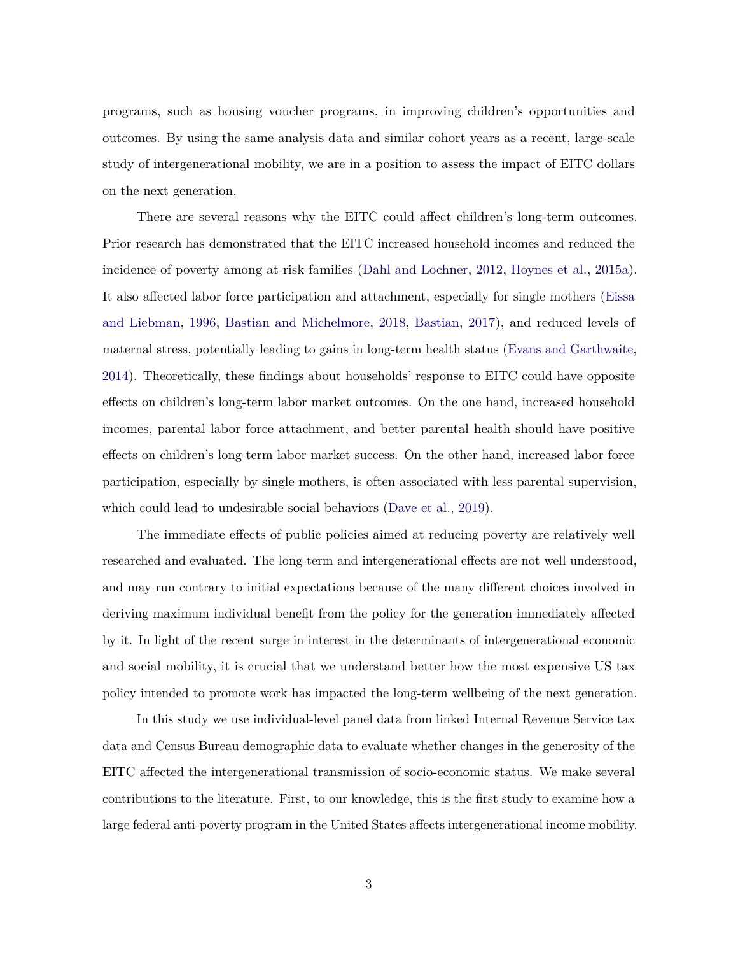programs, such as housing voucher programs, in improving children's opportunities and outcomes. By using the same analysis data and similar cohort years as a recent, large-scale study of intergenerational mobility, we are in a position to assess the impact of EITC dollars on the next generation.

There are several reasons why the EITC could affect children's long-term outcomes. Prior research has demonstrated that the EITC increased household incomes and reduced the incidence of poverty among at-risk families [\(Dahl and Lochner,](#page-18-0) [2012,](#page-18-0) [Hoynes et al.,](#page-18-6) [2015a\)](#page-18-6). It also affected labor force participation and attachment, especially for single mothers [\(Eissa](#page-18-7) [and Liebman,](#page-18-7) [1996,](#page-18-7) [Bastian and Michelmore,](#page-17-0) [2018,](#page-17-0) [Bastian,](#page-17-5) [2017\)](#page-17-5), and reduced levels of maternal stress, potentially leading to gains in long-term health status [\(Evans and Garthwaite,](#page-18-8) [2014\)](#page-18-8). Theoretically, these findings about households' response to EITC could have opposite effects on children's long-term labor market outcomes. On the one hand, increased household incomes, parental labor force attachment, and better parental health should have positive effects on children's long-term labor market success. On the other hand, increased labor force participation, especially by single mothers, is often associated with less parental supervision, which could lead to undesirable social behaviors [\(Dave et al.,](#page-18-9) [2019\)](#page-18-9).

The immediate effects of public policies aimed at reducing poverty are relatively well researched and evaluated. The long-term and intergenerational effects are not well understood, and may run contrary to initial expectations because of the many different choices involved in deriving maximum individual benefit from the policy for the generation immediately affected by it. In light of the recent surge in interest in the determinants of intergenerational economic and social mobility, it is crucial that we understand better how the most expensive US tax policy intended to promote work has impacted the long-term wellbeing of the next generation.

In this study we use individual-level panel data from linked Internal Revenue Service tax data and Census Bureau demographic data to evaluate whether changes in the generosity of the EITC affected the intergenerational transmission of socio-economic status. We make several contributions to the literature. First, to our knowledge, this is the first study to examine how a large federal anti-poverty program in the United States affects intergenerational income mobility.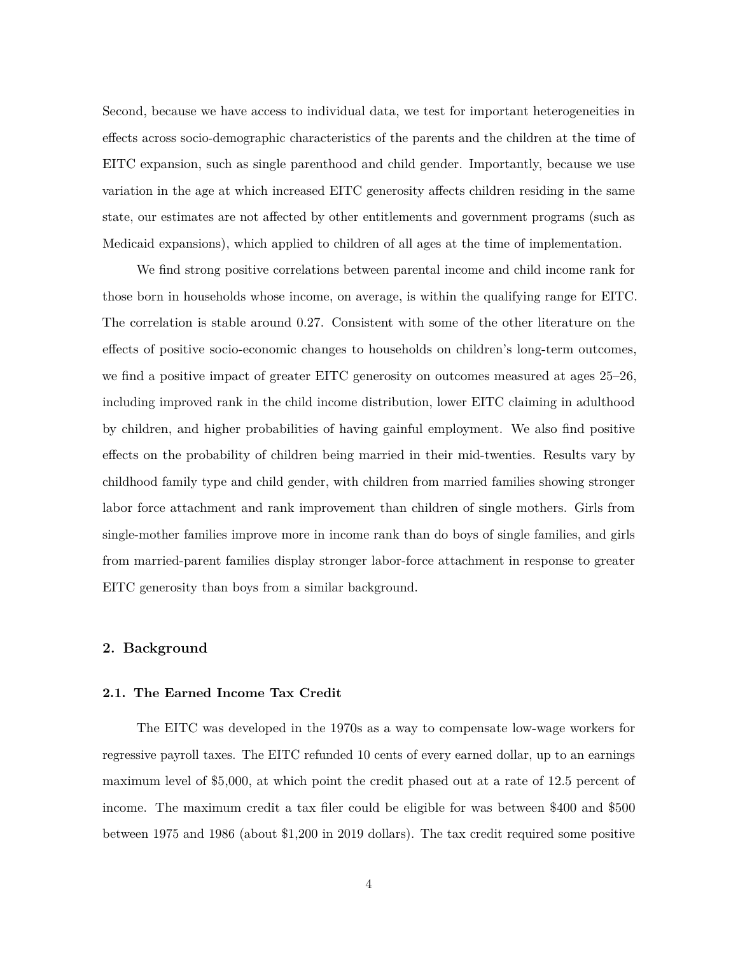Second, because we have access to individual data, we test for important heterogeneities in effects across socio-demographic characteristics of the parents and the children at the time of EITC expansion, such as single parenthood and child gender. Importantly, because we use variation in the age at which increased EITC generosity affects children residing in the same state, our estimates are not affected by other entitlements and government programs (such as Medicaid expansions), which applied to children of all ages at the time of implementation.

We find strong positive correlations between parental income and child income rank for those born in households whose income, on average, is within the qualifying range for EITC. The correlation is stable around 0.27. Consistent with some of the other literature on the effects of positive socio-economic changes to households on children's long-term outcomes, we find a positive impact of greater EITC generosity on outcomes measured at ages 25–26, including improved rank in the child income distribution, lower EITC claiming in adulthood by children, and higher probabilities of having gainful employment. We also find positive effects on the probability of children being married in their mid-twenties. Results vary by childhood family type and child gender, with children from married families showing stronger labor force attachment and rank improvement than children of single mothers. Girls from single-mother families improve more in income rank than do boys of single families, and girls from married-parent families display stronger labor-force attachment in response to greater EITC generosity than boys from a similar background.

#### **2. Background**

#### **2.1. The Earned Income Tax Credit**

The EITC was developed in the 1970s as a way to compensate low-wage workers for regressive payroll taxes. The EITC refunded 10 cents of every earned dollar, up to an earnings maximum level of \$5,000, at which point the credit phased out at a rate of 12.5 percent of income. The maximum credit a tax filer could be eligible for was between \$400 and \$500 between 1975 and 1986 (about \$1,200 in 2019 dollars). The tax credit required some positive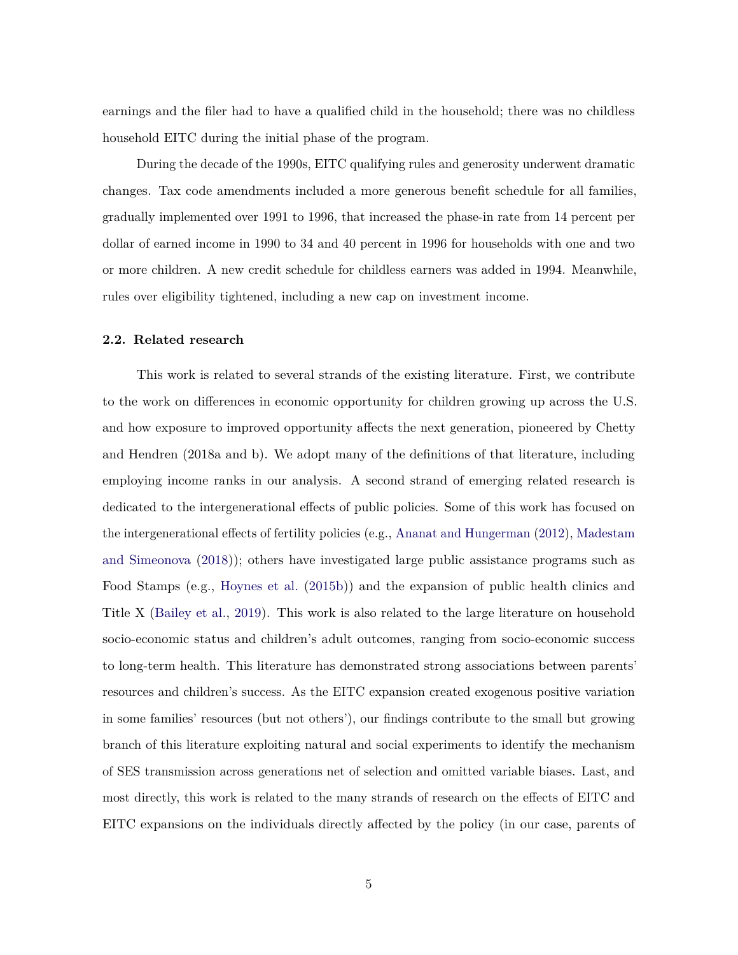earnings and the filer had to have a qualified child in the household; there was no childless household EITC during the initial phase of the program.

During the decade of the 1990s, EITC qualifying rules and generosity underwent dramatic changes. Tax code amendments included a more generous benefit schedule for all families, gradually implemented over 1991 to 1996, that increased the phase-in rate from 14 percent per dollar of earned income in 1990 to 34 and 40 percent in 1996 for households with one and two or more children. A new credit schedule for childless earners was added in 1994. Meanwhile, rules over eligibility tightened, including a new cap on investment income.

#### **2.2. Related research**

This work is related to several strands of the existing literature. First, we contribute to the work on differences in economic opportunity for children growing up across the U.S. and how exposure to improved opportunity affects the next generation, pioneered by Chetty and Hendren (2018a and b). We adopt many of the definitions of that literature, including employing income ranks in our analysis. A second strand of emerging related research is dedicated to the intergenerational effects of public policies. Some of this work has focused on the intergenerational effects of fertility policies (e.g., [Ananat and Hungerman](#page-17-6) [\(2012\)](#page-17-6), [Madestam](#page-18-10) [and Simeonova](#page-18-10) [\(2018\)](#page-18-10)); others have investigated large public assistance programs such as Food Stamps (e.g., [Hoynes et al.](#page-18-11) [\(2015b\)](#page-18-11)) and the expansion of public health clinics and Title X [\(Bailey et al.,](#page-17-7) [2019\)](#page-17-7). This work is also related to the large literature on household socio-economic status and children's adult outcomes, ranging from socio-economic success to long-term health. This literature has demonstrated strong associations between parents' resources and children's success. As the EITC expansion created exogenous positive variation in some families' resources (but not others'), our findings contribute to the small but growing branch of this literature exploiting natural and social experiments to identify the mechanism of SES transmission across generations net of selection and omitted variable biases. Last, and most directly, this work is related to the many strands of research on the effects of EITC and EITC expansions on the individuals directly affected by the policy (in our case, parents of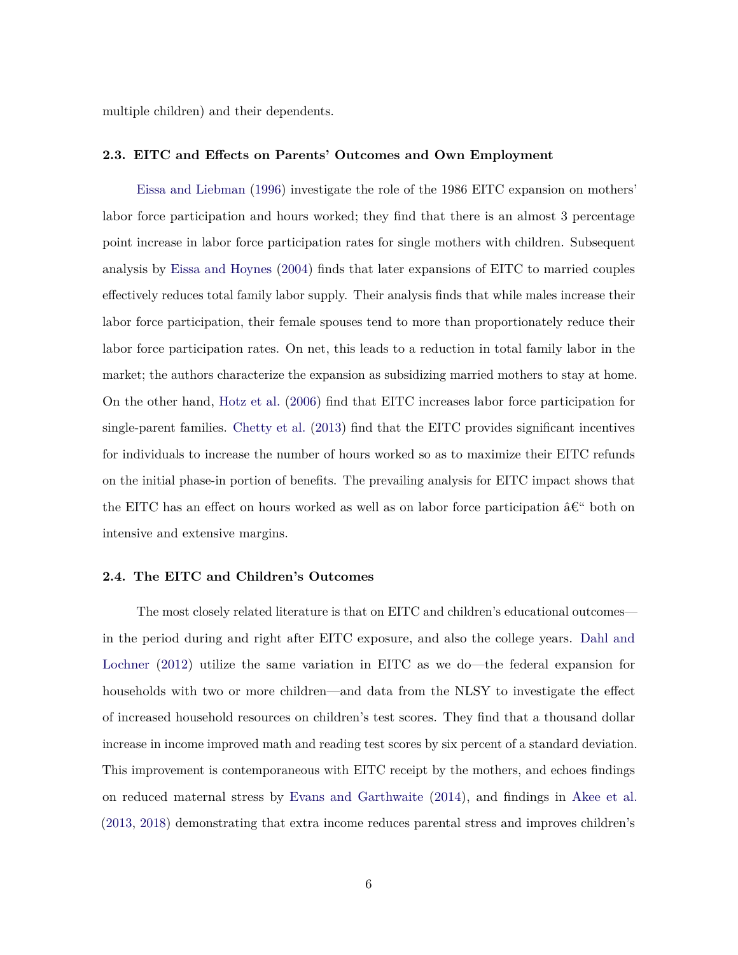multiple children) and their dependents.

#### **2.3. EITC and Effects on Parents' Outcomes and Own Employment**

[Eissa and Liebman](#page-18-7) [\(1996\)](#page-18-7) investigate the role of the 1986 EITC expansion on mothers' labor force participation and hours worked; they find that there is an almost 3 percentage point increase in labor force participation rates for single mothers with children. Subsequent analysis by [Eissa and Hoynes](#page-18-12) [\(2004\)](#page-18-12) finds that later expansions of EITC to married couples effectively reduces total family labor supply. Their analysis finds that while males increase their labor force participation, their female spouses tend to more than proportionately reduce their labor force participation rates. On net, this leads to a reduction in total family labor in the market; the authors characterize the expansion as subsidizing married mothers to stay at home. On the other hand, [Hotz et al.](#page-18-13) [\(2006\)](#page-18-13) find that EITC increases labor force participation for single-parent families. [Chetty et al.](#page-17-8) [\(2013\)](#page-17-8) find that the EITC provides significant incentives for individuals to increase the number of hours worked so as to maximize their EITC refunds on the initial phase-in portion of benefits. The prevailing analysis for EITC impact shows that the EITC has an effect on hours worked as well as on labor force participation  $\hat{\mathbf{a}} \in \mathbb{C}^n$  both on intensive and extensive margins.

#### **2.4. The EITC and Children's Outcomes**

The most closely related literature is that on EITC and children's educational outcomes in the period during and right after EITC exposure, and also the college years. [Dahl and](#page-18-0) [Lochner](#page-18-0) [\(2012\)](#page-18-0) utilize the same variation in EITC as we do—the federal expansion for households with two or more children—and data from the NLSY to investigate the effect of increased household resources on children's test scores. They find that a thousand dollar increase in income improved math and reading test scores by six percent of a standard deviation. This improvement is contemporaneous with EITC receipt by the mothers, and echoes findings on reduced maternal stress by [Evans and Garthwaite](#page-18-8) [\(2014\)](#page-18-8), and findings in [Akee et al.](#page-17-2) [\(2013,](#page-17-2) [2018\)](#page-17-3) demonstrating that extra income reduces parental stress and improves children's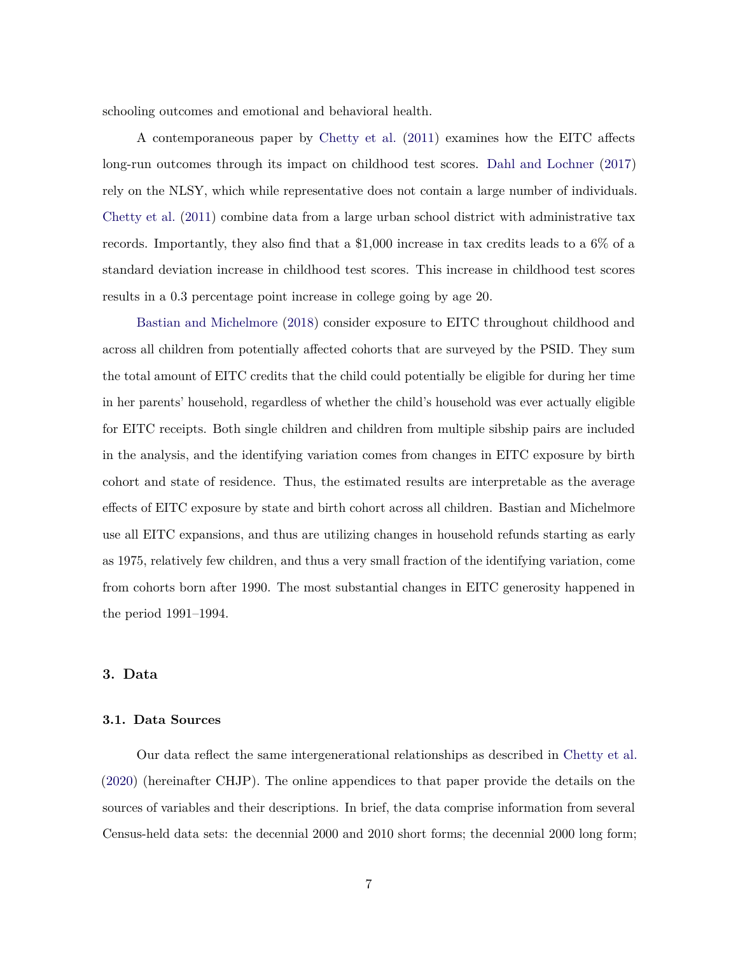schooling outcomes and emotional and behavioral health.

A contemporaneous paper by [Chetty et al.](#page-17-9) [\(2011\)](#page-17-9) examines how the EITC affects long-run outcomes through its impact on childhood test scores. [Dahl and Lochner](#page-18-14) [\(2017\)](#page-18-14) rely on the NLSY, which while representative does not contain a large number of individuals. [Chetty et al.](#page-17-9) [\(2011\)](#page-17-9) combine data from a large urban school district with administrative tax records. Importantly, they also find that a \$1,000 increase in tax credits leads to a 6% of a standard deviation increase in childhood test scores. This increase in childhood test scores results in a 0.3 percentage point increase in college going by age 20.

[Bastian and Michelmore](#page-17-0) [\(2018\)](#page-17-0) consider exposure to EITC throughout childhood and across all children from potentially affected cohorts that are surveyed by the PSID. They sum the total amount of EITC credits that the child could potentially be eligible for during her time in her parents' household, regardless of whether the child's household was ever actually eligible for EITC receipts. Both single children and children from multiple sibship pairs are included in the analysis, and the identifying variation comes from changes in EITC exposure by birth cohort and state of residence. Thus, the estimated results are interpretable as the average effects of EITC exposure by state and birth cohort across all children. Bastian and Michelmore use all EITC expansions, and thus are utilizing changes in household refunds starting as early as 1975, relatively few children, and thus a very small fraction of the identifying variation, come from cohorts born after 1990. The most substantial changes in EITC generosity happened in the period 1991–1994.

## **3. Data**

#### **3.1. Data Sources**

Our data reflect the same intergenerational relationships as described in [Chetty et al.](#page-17-10) [\(2020\)](#page-17-10) (hereinafter CHJP). The online appendices to that paper provide the details on the sources of variables and their descriptions. In brief, the data comprise information from several Census-held data sets: the decennial 2000 and 2010 short forms; the decennial 2000 long form;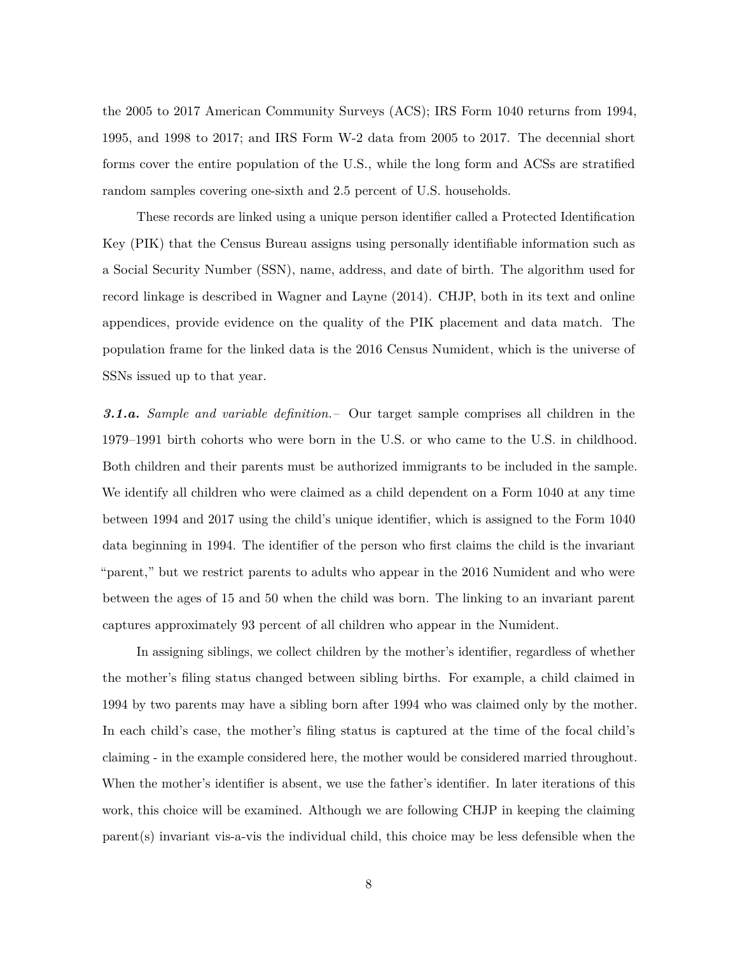the 2005 to 2017 American Community Surveys (ACS); IRS Form 1040 returns from 1994, 1995, and 1998 to 2017; and IRS Form W-2 data from 2005 to 2017. The decennial short forms cover the entire population of the U.S., while the long form and ACSs are stratified random samples covering one-sixth and 2.5 percent of U.S. households.

These records are linked using a unique person identifier called a Protected Identification Key (PIK) that the Census Bureau assigns using personally identifiable information such as a Social Security Number (SSN), name, address, and date of birth. The algorithm used for record linkage is described in Wagner and Layne (2014). CHJP, both in its text and online appendices, provide evidence on the quality of the PIK placement and data match. The population frame for the linked data is the 2016 Census Numident, which is the universe of SSNs issued up to that year.

*3.1.a. Sample and variable definition.–* Our target sample comprises all children in the 1979–1991 birth cohorts who were born in the U.S. or who came to the U.S. in childhood. Both children and their parents must be authorized immigrants to be included in the sample. We identify all children who were claimed as a child dependent on a Form 1040 at any time between 1994 and 2017 using the child's unique identifier, which is assigned to the Form 1040 data beginning in 1994. The identifier of the person who first claims the child is the invariant "parent," but we restrict parents to adults who appear in the 2016 Numident and who were between the ages of 15 and 50 when the child was born. The linking to an invariant parent captures approximately 93 percent of all children who appear in the Numident.

In assigning siblings, we collect children by the mother's identifier, regardless of whether the mother's filing status changed between sibling births. For example, a child claimed in 1994 by two parents may have a sibling born after 1994 who was claimed only by the mother. In each child's case, the mother's filing status is captured at the time of the focal child's claiming - in the example considered here, the mother would be considered married throughout. When the mother's identifier is absent, we use the father's identifier. In later iterations of this work, this choice will be examined. Although we are following CHJP in keeping the claiming parent(s) invariant vis-a-vis the individual child, this choice may be less defensible when the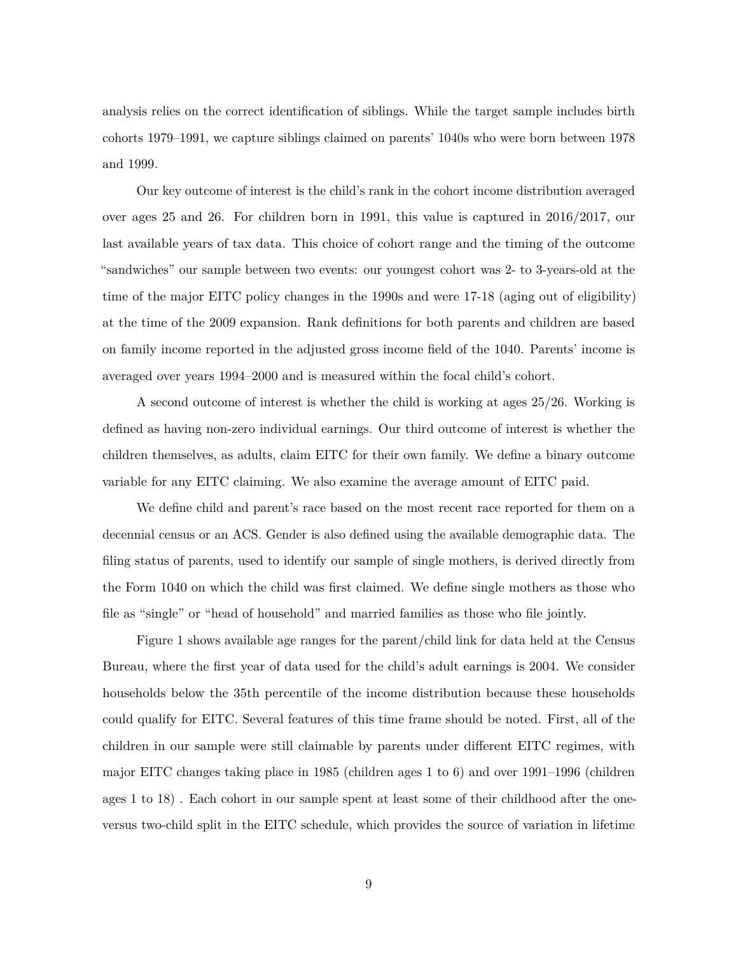analysis relies on the correct identification of siblings. While the target sample includes birth cohorts 1979–1991, we capture siblings claimed on parents' 1040s who were born between 1978 and 1999.

Our key outcome of interest is the child's rank in the cohort income distribution averaged over ages 25 and 26. For children born in 1991, this value is captured in 2016/2017, our last available years of tax data. This choice of cohort range and the timing of the outcome "sandwiches" our sample between two events: our youngest cohort was 2- to 3-years-old at the time of the major EITC policy changes in the 1990s and were 17-18 (aging out of eligibility) at the time of the 2009 expansion. Rank definitions for both parents and children are based on family income reported in the adjusted gross income field of the 1040. Parents' income is averaged over years 1994–2000 and is measured within the focal child's cohort.

A second outcome of interest is whether the child is working at ages 25/26. Working is defined as having non-zero individual earnings. Our third outcome of interest is whether the children themselves, as adults, claim EITC for their own family. We define a binary outcome variable for any EITC claiming. We also examine the average amount of EITC paid.

We define child and parent's race based on the most recent race reported for them on a decennial census or an ACS. Gender is also defined using the available demographic data. The filing status of parents, used to identify our sample of single mothers, is derived directly from the Form 1040 on which the child was first claimed. We define single mothers as those who file as "single" or "head of household" and married families as those who file jointly.

Figure 1 shows available age ranges for the parent/child link for data held at the Census Bureau, where the first year of data used for the child's adult earnings is 2004. We consider households below the 35th percentile of the income distribution because these households could qualify for EITC. Several features of this time frame should be noted. First, all of the children in our sample were still claimable by parents under different EITC regimes, with major EITC changes taking place in 1985 (children ages 1 to 6) and over 1991–1996 (children ages 1 to 18) . Each cohort in our sample spent at least some of their childhood after the oneversus two-child split in the EITC schedule, which provides the source of variation in lifetime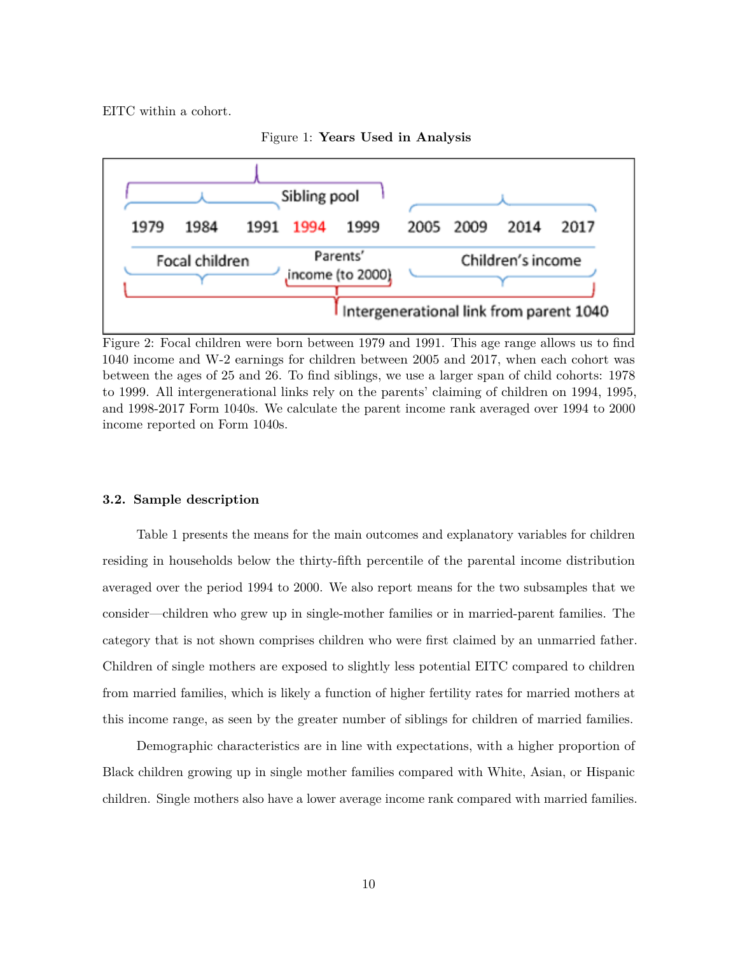EITC within a cohort.





Figure 2: Focal children were born between 1979 and 1991. This age range allows us to find 1040 income and W-2 earnings for children between 2005 and 2017, when each cohort was between the ages of 25 and 26. To find siblings, we use a larger span of child cohorts: 1978 to 1999. All intergenerational links rely on the parents' claiming of children on 1994, 1995, and 1998-2017 Form 1040s. We calculate the parent income rank averaged over 1994 to 2000 income reported on Form 1040s.

#### **3.2. Sample description**

Table 1 presents the means for the main outcomes and explanatory variables for children residing in households below the thirty-fifth percentile of the parental income distribution averaged over the period 1994 to 2000. We also report means for the two subsamples that we consider—children who grew up in single-mother families or in married-parent families. The category that is not shown comprises children who were first claimed by an unmarried father. Children of single mothers are exposed to slightly less potential EITC compared to children from married families, which is likely a function of higher fertility rates for married mothers at this income range, as seen by the greater number of siblings for children of married families.

Demographic characteristics are in line with expectations, with a higher proportion of Black children growing up in single mother families compared with White, Asian, or Hispanic children. Single mothers also have a lower average income rank compared with married families.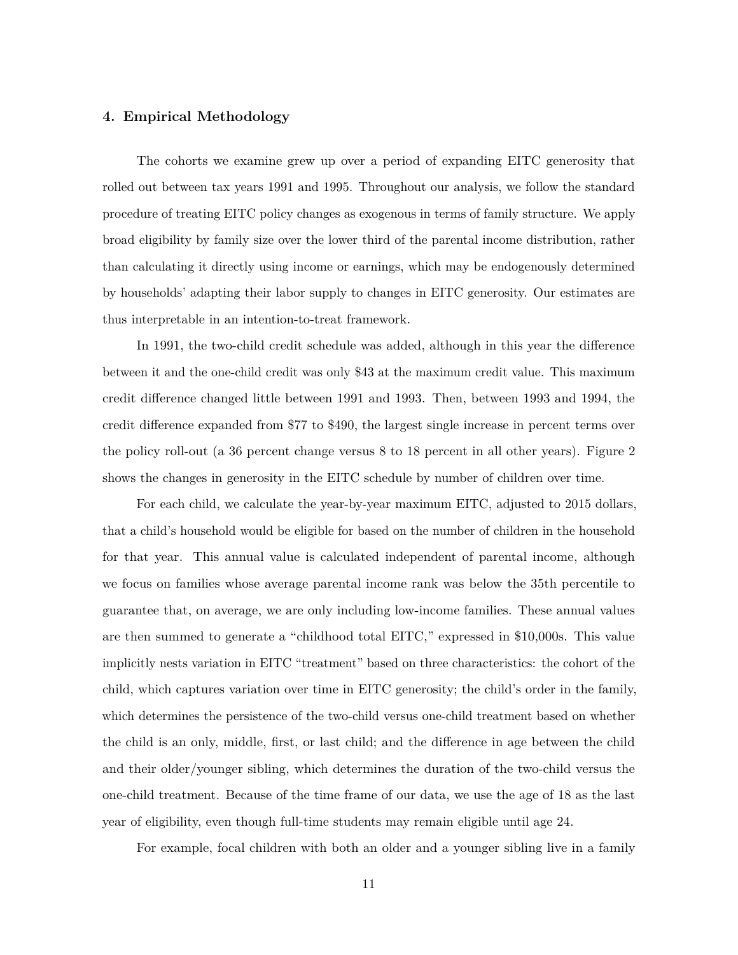## **4. Empirical Methodology**

The cohorts we examine grew up over a period of expanding EITC generosity that rolled out between tax years 1991 and 1995. Throughout our analysis, we follow the standard procedure of treating EITC policy changes as exogenous in terms of family structure. We apply broad eligibility by family size over the lower third of the parental income distribution, rather than calculating it directly using income or earnings, which may be endogenously determined by households' adapting their labor supply to changes in EITC generosity. Our estimates are thus interpretable in an intention-to-treat framework.

In 1991, the two-child credit schedule was added, although in this year the difference between it and the one-child credit was only \$43 at the maximum credit value. This maximum credit difference changed little between 1991 and 1993. Then, between 1993 and 1994, the credit difference expanded from \$77 to \$490, the largest single increase in percent terms over the policy roll-out (a 36 percent change versus 8 to 18 percent in all other years). Figure 2 shows the changes in generosity in the EITC schedule by number of children over time.

For each child, we calculate the year-by-year maximum EITC, adjusted to 2015 dollars, that a child's household would be eligible for based on the number of children in the household for that year. This annual value is calculated independent of parental income, although we focus on families whose average parental income rank was below the 35th percentile to guarantee that, on average, we are only including low-income families. These annual values are then summed to generate a "childhood total EITC," expressed in \$10,000s. This value implicitly nests variation in EITC "treatment" based on three characteristics: the cohort of the child, which captures variation over time in EITC generosity; the child's order in the family, which determines the persistence of the two-child versus one-child treatment based on whether the child is an only, middle, first, or last child; and the difference in age between the child and their older/younger sibling, which determines the duration of the two-child versus the one-child treatment. Because of the time frame of our data, we use the age of 18 as the last year of eligibility, even though full-time students may remain eligible until age 24.

For example, focal children with both an older and a younger sibling live in a family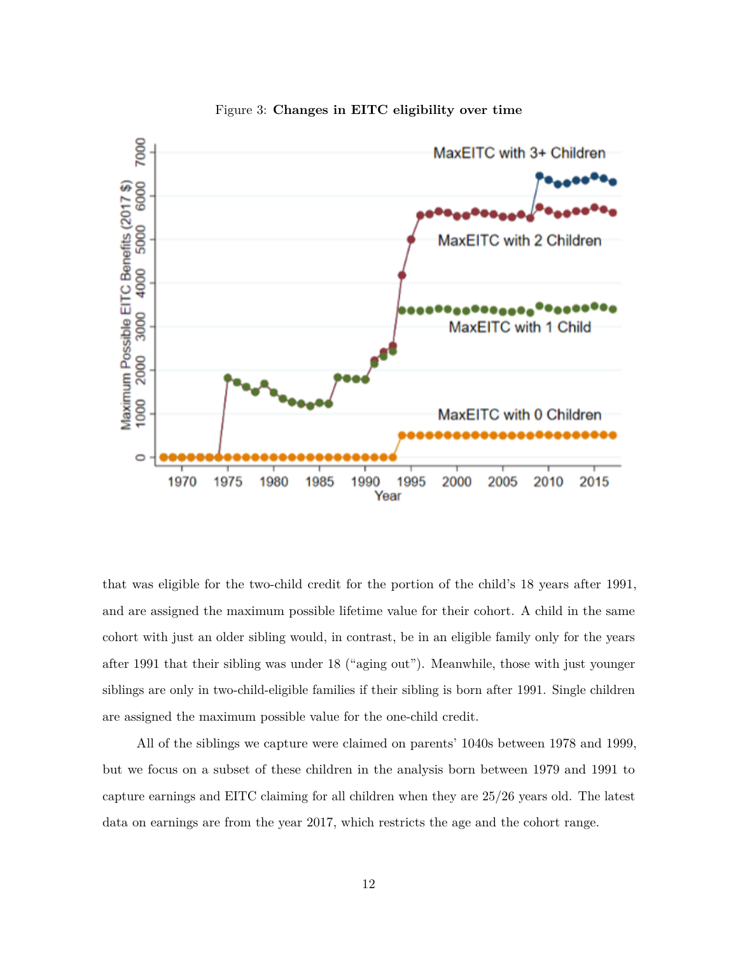

Figure 3: **Changes in EITC eligibility over time**

that was eligible for the two-child credit for the portion of the child's 18 years after 1991, and are assigned the maximum possible lifetime value for their cohort. A child in the same cohort with just an older sibling would, in contrast, be in an eligible family only for the years after 1991 that their sibling was under 18 ("aging out"). Meanwhile, those with just younger siblings are only in two-child-eligible families if their sibling is born after 1991. Single children are assigned the maximum possible value for the one-child credit.

All of the siblings we capture were claimed on parents' 1040s between 1978 and 1999, but we focus on a subset of these children in the analysis born between 1979 and 1991 to capture earnings and EITC claiming for all children when they are 25/26 years old. The latest data on earnings are from the year 2017, which restricts the age and the cohort range.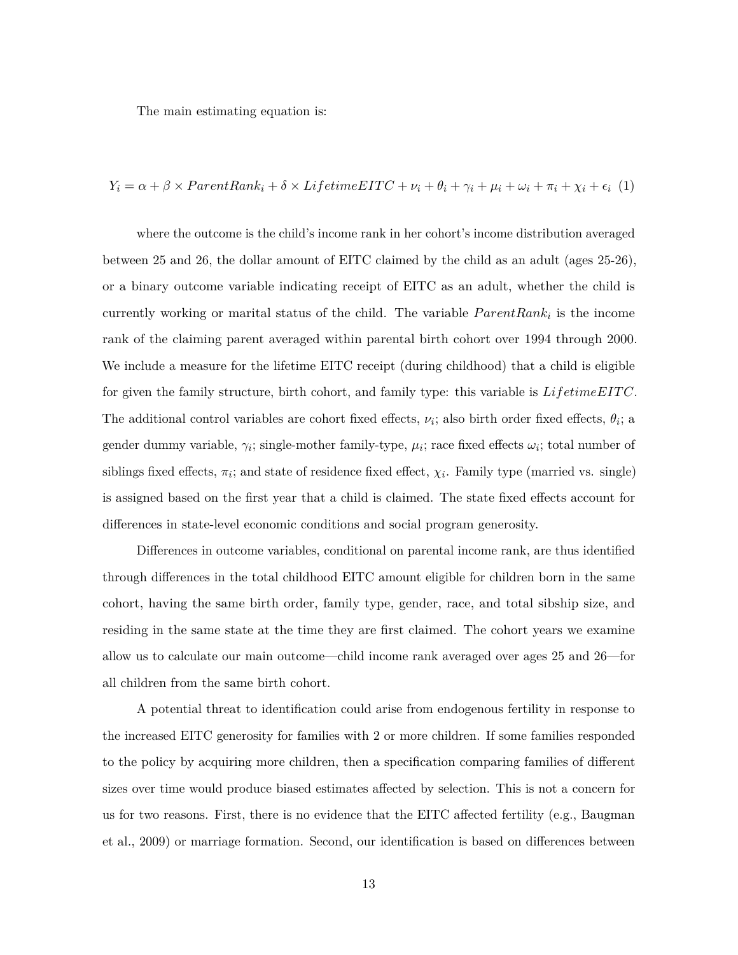The main estimating equation is:

## $Y_i = \alpha + \beta \times ParentRank_i + \delta \times LifetimeEITC + \nu_i + \theta_i + \gamma_i + \mu_i + \omega_i + \pi_i + \chi_i + \epsilon_i$  (1)

where the outcome is the child's income rank in her cohort's income distribution averaged between 25 and 26, the dollar amount of EITC claimed by the child as an adult (ages 25-26), or a binary outcome variable indicating receipt of EITC as an adult, whether the child is currently working or marital status of the child. The variable  $ParentRank_i$  is the income rank of the claiming parent averaged within parental birth cohort over 1994 through 2000. We include a measure for the lifetime EITC receipt (during childhood) that a child is eligible for given the family structure, birth cohort, and family type: this variable is *LifetimeEIT C*. The additional control variables are cohort fixed effects,  $\nu_i$ ; also birth order fixed effects,  $\theta_i$ ; a gender dummy variable,  $\gamma_i$ ; single-mother family-type,  $\mu_i$ ; race fixed effects  $\omega_i$ ; total number of siblings fixed effects,  $\pi_i$ ; and state of residence fixed effect,  $\chi_i$ . Family type (married vs. single) is assigned based on the first year that a child is claimed. The state fixed effects account for differences in state-level economic conditions and social program generosity.

Differences in outcome variables, conditional on parental income rank, are thus identified through differences in the total childhood EITC amount eligible for children born in the same cohort, having the same birth order, family type, gender, race, and total sibship size, and residing in the same state at the time they are first claimed. The cohort years we examine allow us to calculate our main outcome—child income rank averaged over ages 25 and 26—for all children from the same birth cohort.

A potential threat to identification could arise from endogenous fertility in response to the increased EITC generosity for families with 2 or more children. If some families responded to the policy by acquiring more children, then a specification comparing families of different sizes over time would produce biased estimates affected by selection. This is not a concern for us for two reasons. First, there is no evidence that the EITC affected fertility (e.g., Baugman et al., 2009) or marriage formation. Second, our identification is based on differences between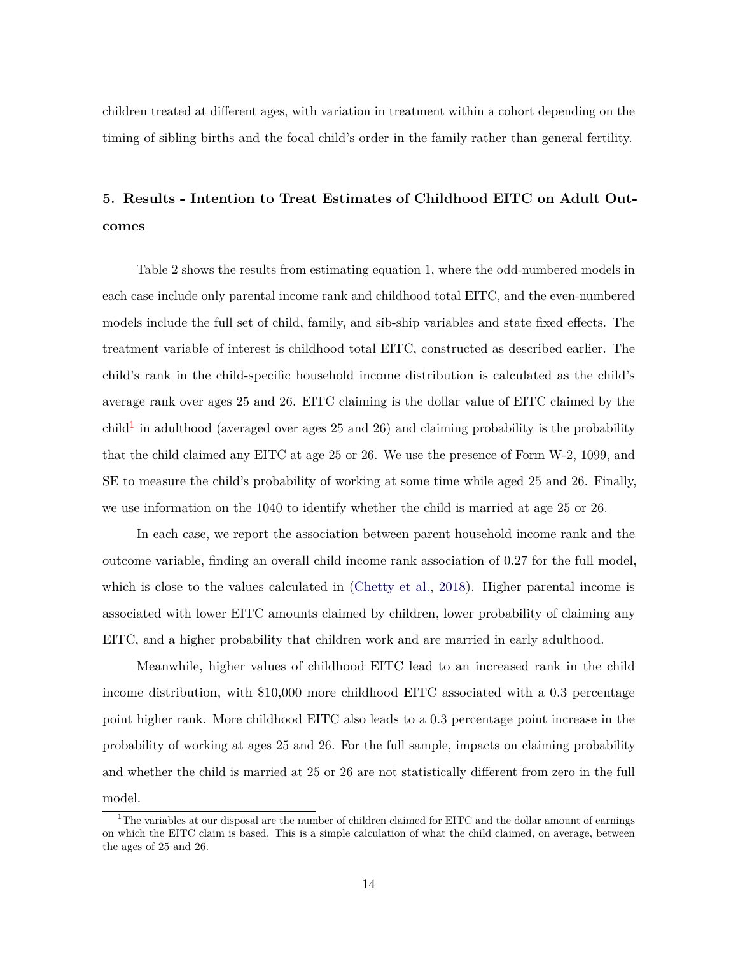children treated at different ages, with variation in treatment within a cohort depending on the timing of sibling births and the focal child's order in the family rather than general fertility.

# **5. Results - Intention to Treat Estimates of Childhood EITC on Adult Outcomes**

Table 2 shows the results from estimating equation 1, where the odd-numbered models in each case include only parental income rank and childhood total EITC, and the even-numbered models include the full set of child, family, and sib-ship variables and state fixed effects. The treatment variable of interest is childhood total EITC, constructed as described earlier. The child's rank in the child-specific household income distribution is calculated as the child's average rank over ages 25 and 26. EITC claiming is the dollar value of EITC claimed by the child<sup>[1](#page-13-0)</sup> in adulthood (averaged over ages 25 and 26) and claiming probability is the probability that the child claimed any EITC at age 25 or 26. We use the presence of Form W-2, 1099, and SE to measure the child's probability of working at some time while aged 25 and 26. Finally, we use information on the 1040 to identify whether the child is married at age 25 or 26.

In each case, we report the association between parent household income rank and the outcome variable, finding an overall child income rank association of 0.27 for the full model, which is close to the values calculated in [\(Chetty et al.,](#page-17-11) [2018\)](#page-17-11). Higher parental income is associated with lower EITC amounts claimed by children, lower probability of claiming any EITC, and a higher probability that children work and are married in early adulthood.

Meanwhile, higher values of childhood EITC lead to an increased rank in the child income distribution, with \$10,000 more childhood EITC associated with a 0.3 percentage point higher rank. More childhood EITC also leads to a 0.3 percentage point increase in the probability of working at ages 25 and 26. For the full sample, impacts on claiming probability and whether the child is married at 25 or 26 are not statistically different from zero in the full model.

<span id="page-13-0"></span><sup>&</sup>lt;sup>1</sup>The variables at our disposal are the number of children claimed for EITC and the dollar amount of earnings on which the EITC claim is based. This is a simple calculation of what the child claimed, on average, between the ages of 25 and 26.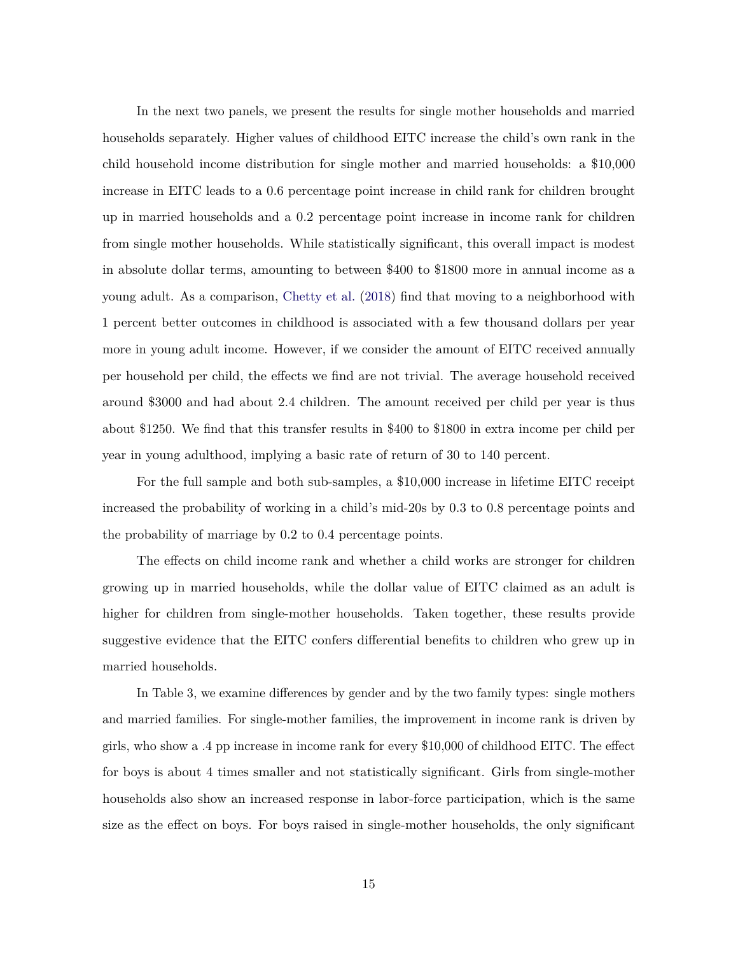In the next two panels, we present the results for single mother households and married households separately. Higher values of childhood EITC increase the child's own rank in the child household income distribution for single mother and married households: a \$10,000 increase in EITC leads to a 0.6 percentage point increase in child rank for children brought up in married households and a 0.2 percentage point increase in income rank for children from single mother households. While statistically significant, this overall impact is modest in absolute dollar terms, amounting to between \$400 to \$1800 more in annual income as a young adult. As a comparison, [Chetty et al.](#page-17-11) [\(2018\)](#page-17-11) find that moving to a neighborhood with 1 percent better outcomes in childhood is associated with a few thousand dollars per year more in young adult income. However, if we consider the amount of EITC received annually per household per child, the effects we find are not trivial. The average household received around \$3000 and had about 2.4 children. The amount received per child per year is thus about \$1250. We find that this transfer results in \$400 to \$1800 in extra income per child per year in young adulthood, implying a basic rate of return of 30 to 140 percent.

For the full sample and both sub-samples, a \$10,000 increase in lifetime EITC receipt increased the probability of working in a child's mid-20s by 0.3 to 0.8 percentage points and the probability of marriage by 0.2 to 0.4 percentage points.

The effects on child income rank and whether a child works are stronger for children growing up in married households, while the dollar value of EITC claimed as an adult is higher for children from single-mother households. Taken together, these results provide suggestive evidence that the EITC confers differential benefits to children who grew up in married households.

In Table 3, we examine differences by gender and by the two family types: single mothers and married families. For single-mother families, the improvement in income rank is driven by girls, who show a .4 pp increase in income rank for every \$10,000 of childhood EITC. The effect for boys is about 4 times smaller and not statistically significant. Girls from single-mother households also show an increased response in labor-force participation, which is the same size as the effect on boys. For boys raised in single-mother households, the only significant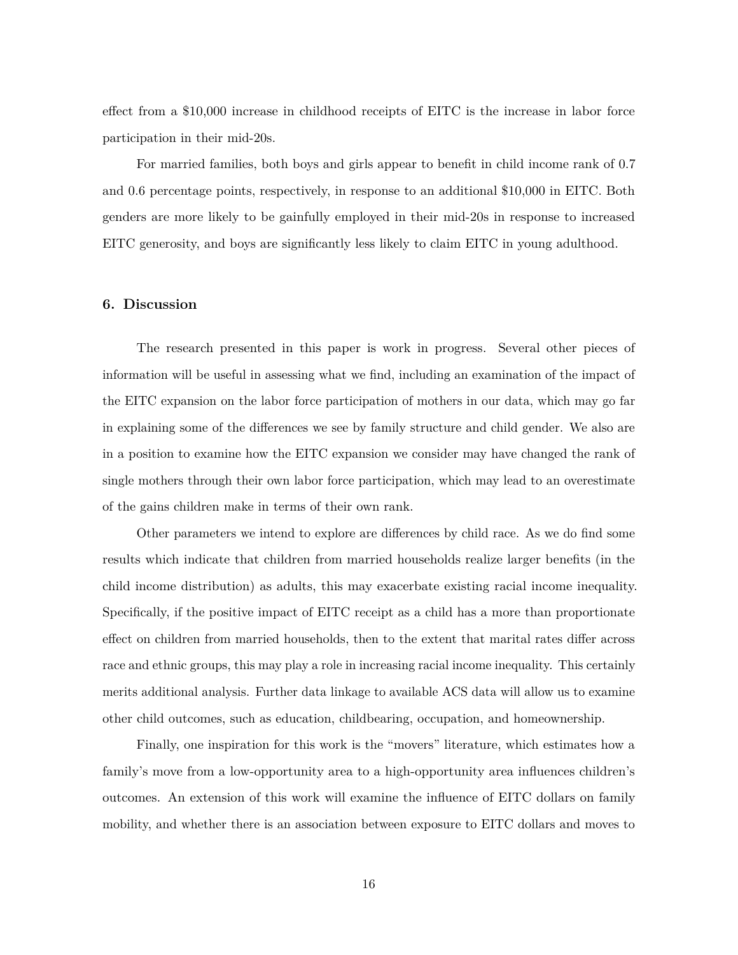effect from a \$10,000 increase in childhood receipts of EITC is the increase in labor force participation in their mid-20s.

For married families, both boys and girls appear to benefit in child income rank of 0.7 and 0.6 percentage points, respectively, in response to an additional \$10,000 in EITC. Both genders are more likely to be gainfully employed in their mid-20s in response to increased EITC generosity, and boys are significantly less likely to claim EITC in young adulthood.

#### **6. Discussion**

The research presented in this paper is work in progress. Several other pieces of information will be useful in assessing what we find, including an examination of the impact of the EITC expansion on the labor force participation of mothers in our data, which may go far in explaining some of the differences we see by family structure and child gender. We also are in a position to examine how the EITC expansion we consider may have changed the rank of single mothers through their own labor force participation, which may lead to an overestimate of the gains children make in terms of their own rank.

Other parameters we intend to explore are differences by child race. As we do find some results which indicate that children from married households realize larger benefits (in the child income distribution) as adults, this may exacerbate existing racial income inequality. Specifically, if the positive impact of EITC receipt as a child has a more than proportionate effect on children from married households, then to the extent that marital rates differ across race and ethnic groups, this may play a role in increasing racial income inequality. This certainly merits additional analysis. Further data linkage to available ACS data will allow us to examine other child outcomes, such as education, childbearing, occupation, and homeownership.

Finally, one inspiration for this work is the "movers" literature, which estimates how a family's move from a low-opportunity area to a high-opportunity area influences children's outcomes. An extension of this work will examine the influence of EITC dollars on family mobility, and whether there is an association between exposure to EITC dollars and moves to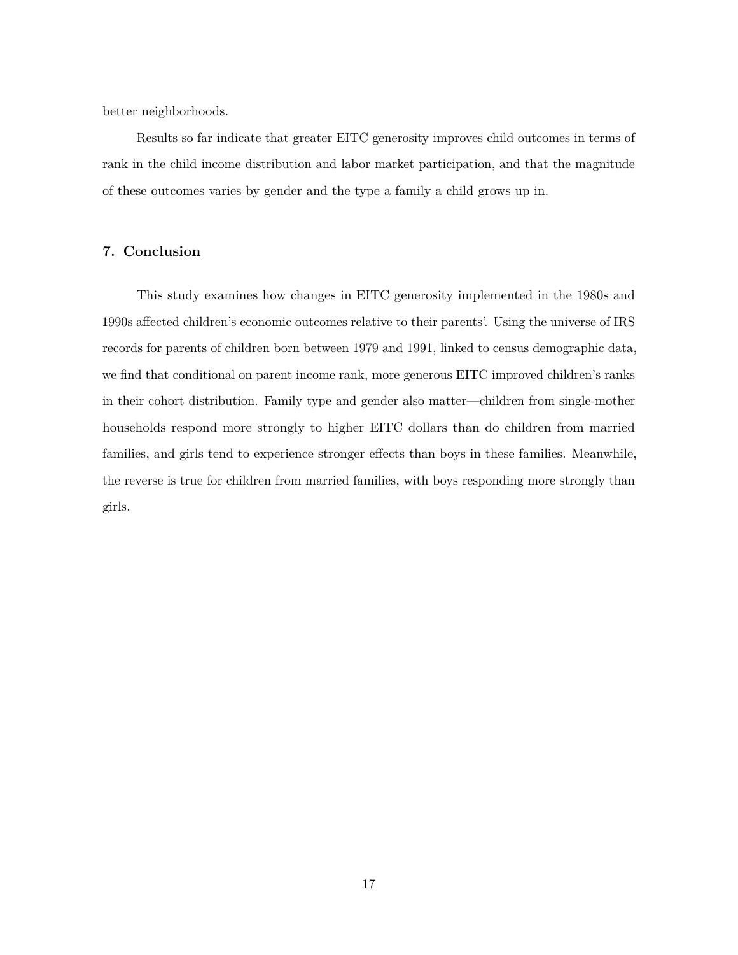better neighborhoods.

Results so far indicate that greater EITC generosity improves child outcomes in terms of rank in the child income distribution and labor market participation, and that the magnitude of these outcomes varies by gender and the type a family a child grows up in.

## **7. Conclusion**

This study examines how changes in EITC generosity implemented in the 1980s and 1990s affected children's economic outcomes relative to their parents'. Using the universe of IRS records for parents of children born between 1979 and 1991, linked to census demographic data, we find that conditional on parent income rank, more generous EITC improved children's ranks in their cohort distribution. Family type and gender also matter—children from single-mother households respond more strongly to higher EITC dollars than do children from married families, and girls tend to experience stronger effects than boys in these families. Meanwhile, the reverse is true for children from married families, with boys responding more strongly than girls.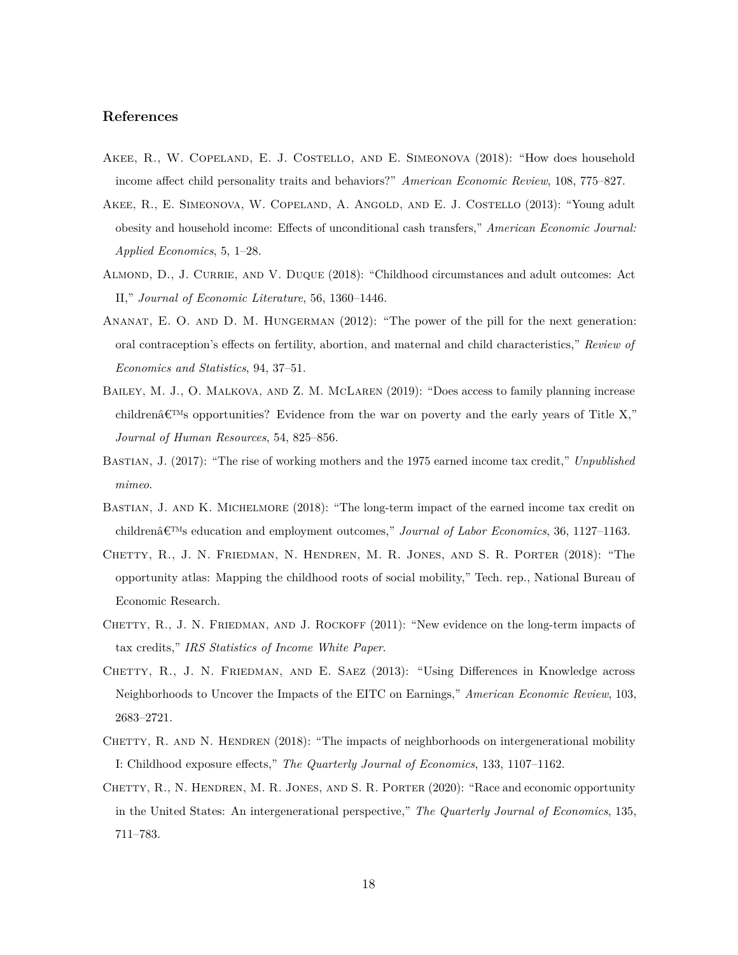## **References**

- <span id="page-17-3"></span>Akee, R., W. Copeland, E. J. Costello, and E. Simeonova (2018): "How does household income affect child personality traits and behaviors?" *American Economic Review*, 108, 775–827.
- <span id="page-17-2"></span>Akee, R., E. Simeonova, W. Copeland, A. Angold, and E. J. Costello (2013): "Young adult obesity and household income: Effects of unconditional cash transfers," *American Economic Journal: Applied Economics*, 5, 1–28.
- <span id="page-17-1"></span>Almond, D., J. Currie, and V. Duque (2018): "Childhood circumstances and adult outcomes: Act II," *Journal of Economic Literature*, 56, 1360–1446.
- <span id="page-17-6"></span>ANANAT, E. O. AND D. M. HUNGERMAN (2012): "The power of the pill for the next generation: oral contraception's effects on fertility, abortion, and maternal and child characteristics," *Review of Economics and Statistics*, 94, 37–51.
- <span id="page-17-7"></span>BAILEY, M. J., O. MALKOVA, AND Z. M. MCLAREN (2019): "Does access to family planning increase children $\hat{\mathbf{\varepsilon}}$  are opportunities? Evidence from the war on poverty and the early years of Title X," *Journal of Human Resources*, 54, 825–856.
- <span id="page-17-5"></span>Bastian, J. (2017): "The rise of working mothers and the 1975 earned income tax credit," *Unpublished mimeo*.
- <span id="page-17-0"></span>BASTIAN, J. AND K. MICHELMORE (2018): "The long-term impact of the earned income tax credit on children $\hat{\mathcal{E}}^{TM}$ s education and employment outcomes," *Journal of Labor Economics*, 36, 1127–1163.
- <span id="page-17-11"></span>Chetty, R., J. N. Friedman, N. Hendren, M. R. Jones, and S. R. Porter (2018): "The opportunity atlas: Mapping the childhood roots of social mobility," Tech. rep., National Bureau of Economic Research.
- <span id="page-17-9"></span>CHETTY, R., J. N. FRIEDMAN, AND J. ROCKOFF (2011): "New evidence on the long-term impacts of tax credits," *IRS Statistics of Income White Paper*.
- <span id="page-17-8"></span>CHETTY, R., J. N. FRIEDMAN, AND E. SAEZ (2013): "Using Differences in Knowledge across Neighborhoods to Uncover the Impacts of the EITC on Earnings," *American Economic Review*, 103, 2683–2721.
- <span id="page-17-4"></span>CHETTY, R. AND N. HENDREN (2018): "The impacts of neighborhoods on intergenerational mobility I: Childhood exposure effects," *The Quarterly Journal of Economics*, 133, 1107–1162.
- <span id="page-17-10"></span>CHETTY, R., N. HENDREN, M. R. JONES, AND S. R. PORTER (2020): "Race and economic opportunity in the United States: An intergenerational perspective," *The Quarterly Journal of Economics*, 135, 711–783.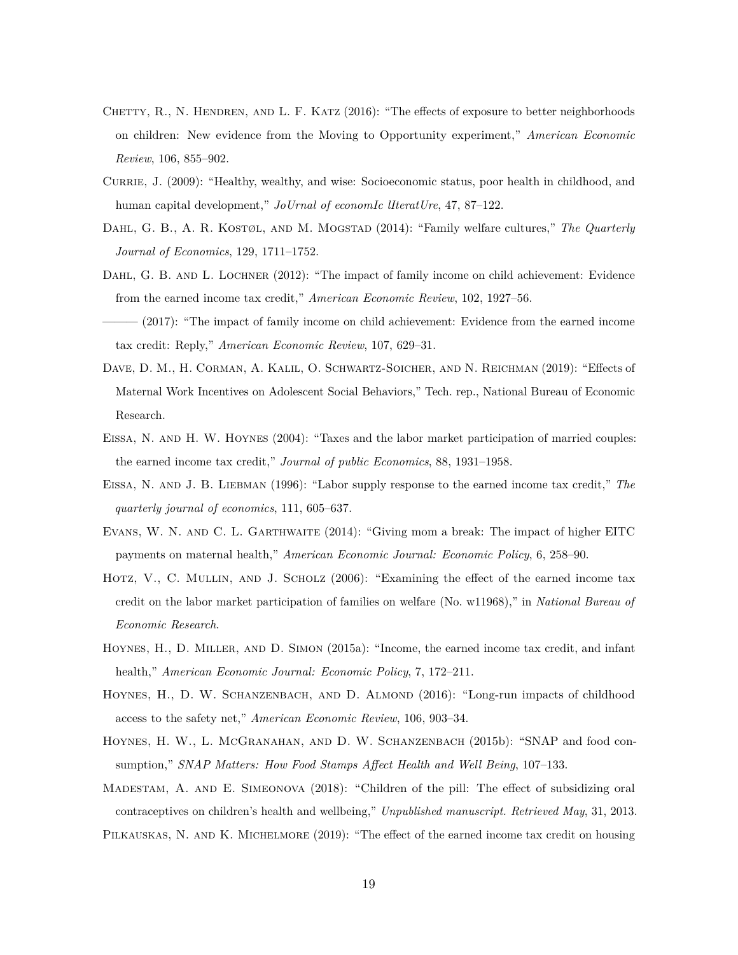- <span id="page-18-4"></span>CHETTY, R., N. HENDREN, AND L. F. KATZ (2016): "The effects of exposure to better neighborhoods on children: New evidence from the Moving to Opportunity experiment," *American Economic Review*, 106, 855–902.
- <span id="page-18-1"></span>Currie, J. (2009): "Healthy, wealthy, and wise: Socioeconomic status, poor health in childhood, and human capital development," *JoUrnal of economIc lIteratUre*, 47, 87–122.
- <span id="page-18-3"></span>Dahl, G. B., A. R. Kostøl, and M. Mogstad (2014): "Family welfare cultures," *The Quarterly Journal of Economics*, 129, 1711–1752.
- <span id="page-18-0"></span>DAHL, G. B. AND L. LOCHNER (2012): "The impact of family income on child achievement: Evidence from the earned income tax credit," *American Economic Review*, 102, 1927–56.
- <span id="page-18-14"></span>——— (2017): "The impact of family income on child achievement: Evidence from the earned income tax credit: Reply," *American Economic Review*, 107, 629–31.
- <span id="page-18-9"></span>DAVE, D. M., H. CORMAN, A. KALIL, O. SCHWARTZ-SOICHER, AND N. REICHMAN (2019): "Effects of Maternal Work Incentives on Adolescent Social Behaviors," Tech. rep., National Bureau of Economic Research.
- <span id="page-18-12"></span>Eissa, N. and H. W. Hoynes (2004): "Taxes and the labor market participation of married couples: the earned income tax credit," *Journal of public Economics*, 88, 1931–1958.
- <span id="page-18-7"></span>EISSA, N. AND J. B. LIEBMAN (1996): "Labor supply response to the earned income tax credit," The *quarterly journal of economics*, 111, 605–637.
- <span id="page-18-8"></span>Evans, W. N. and C. L. Garthwaite (2014): "Giving mom a break: The impact of higher EITC payments on maternal health," *American Economic Journal: Economic Policy*, 6, 258–90.
- <span id="page-18-13"></span>HOTZ, V., C. MULLIN, AND J. SCHOLZ (2006): "Examining the effect of the earned income tax credit on the labor market participation of families on welfare (No. w11968)," in *National Bureau of Economic Research*.
- <span id="page-18-6"></span>Hoynes, H., D. Miller, and D. Simon (2015a): "Income, the earned income tax credit, and infant health," *American Economic Journal: Economic Policy*, 7, 172–211.
- <span id="page-18-2"></span>HOYNES, H., D. W. SCHANZENBACH, AND D. ALMOND (2016): "Long-run impacts of childhood access to the safety net," *American Economic Review*, 106, 903–34.
- <span id="page-18-11"></span>HOYNES, H. W., L. MCGRANAHAN, AND D. W. SCHANZENBACH (2015b): "SNAP and food consumption," *SNAP Matters: How Food Stamps Affect Health and Well Being*, 107–133.
- <span id="page-18-10"></span><span id="page-18-5"></span>Madestam, A. and E. Simeonova (2018): "Children of the pill: The effect of subsidizing oral contraceptives on children's health and wellbeing," *Unpublished manuscript. Retrieved May*, 31, 2013. PILKAUSKAS, N. AND K. MICHELMORE (2019): "The effect of the earned income tax credit on housing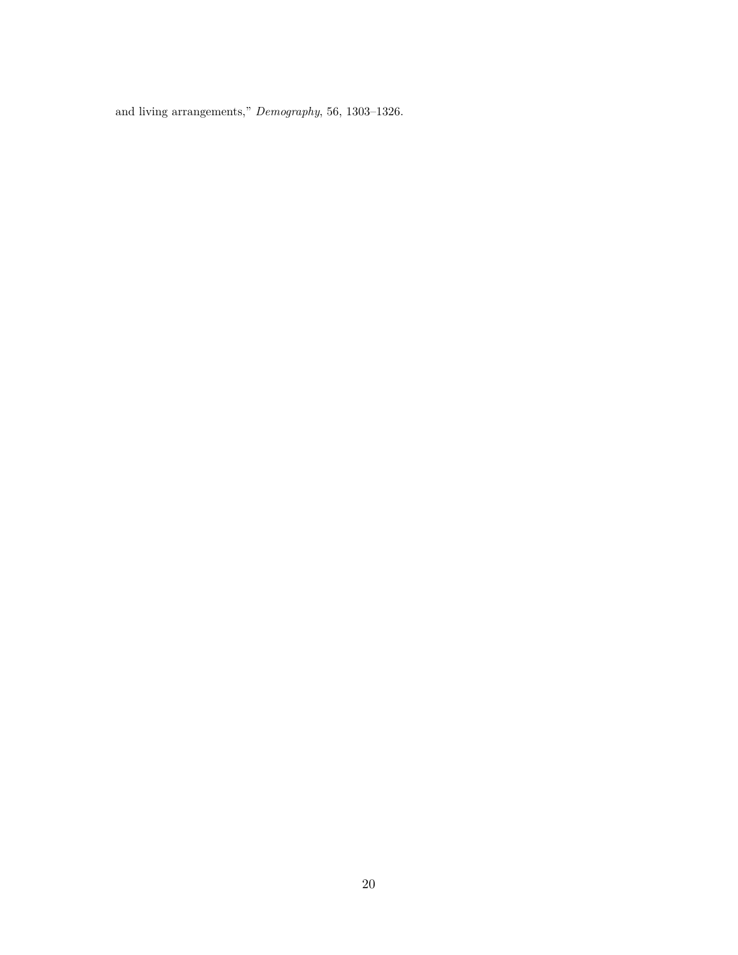and living arrangements," *Demography*, 56, 1303–1326.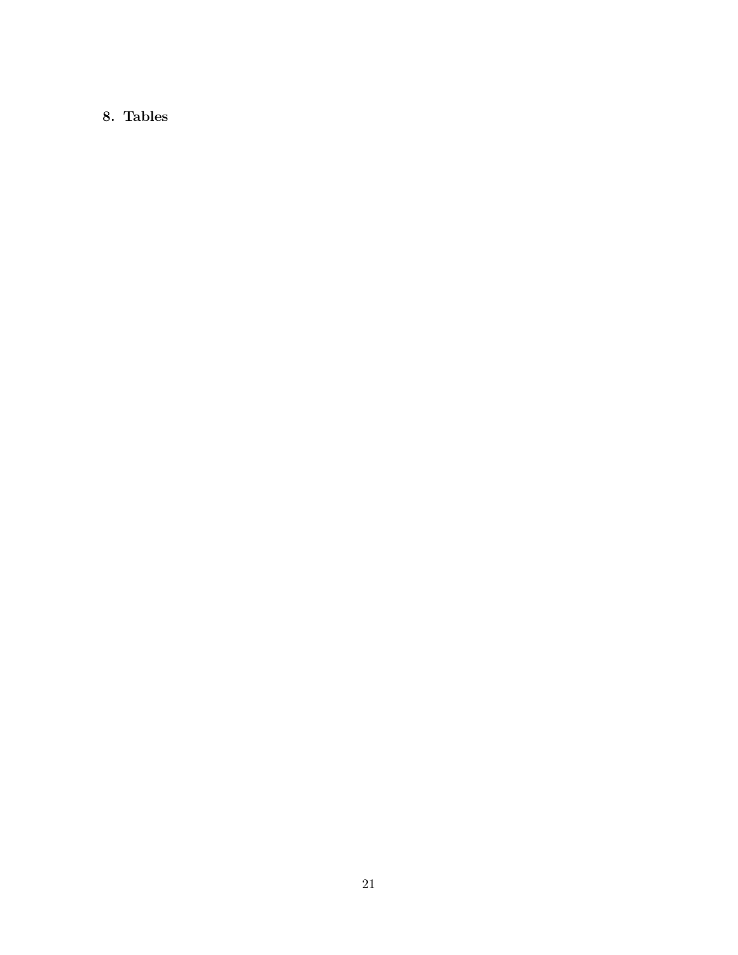## **8. Tables**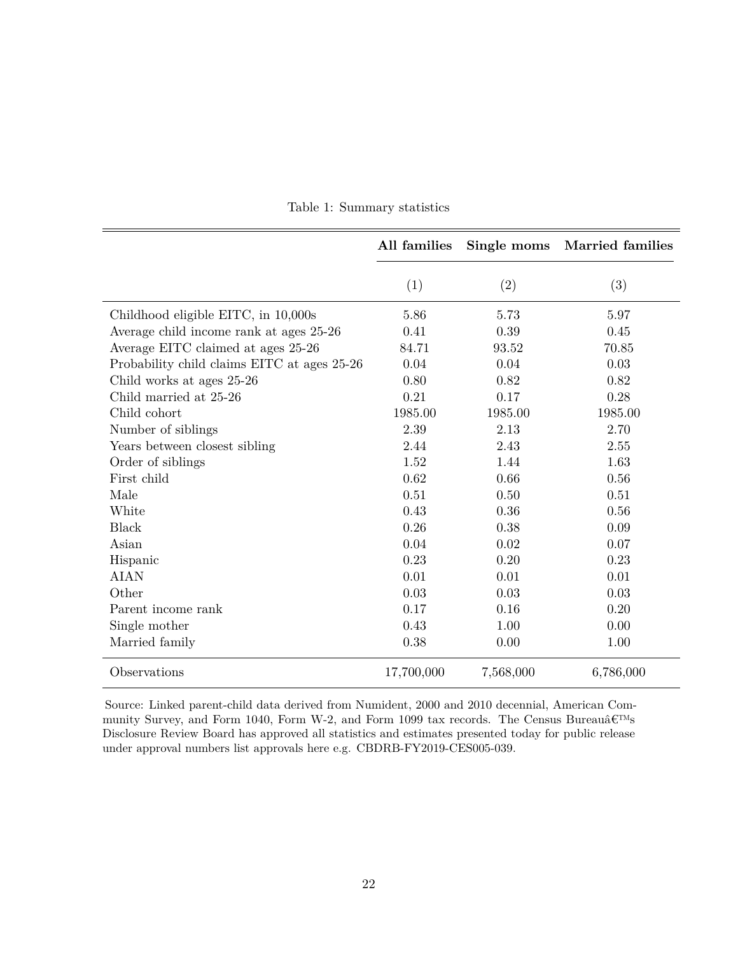|                                             | All families | Single moms | <b>Married families</b> |
|---------------------------------------------|--------------|-------------|-------------------------|
|                                             | (1)          | (2)         | (3)                     |
| Childhood eligible EITC, in 10,000s         | 5.86         | 5.73        | 5.97                    |
| Average child income rank at ages 25-26     | 0.41         | 0.39        | 0.45                    |
| Average EITC claimed at ages 25-26          | 84.71        | 93.52       | 70.85                   |
| Probability child claims EITC at ages 25-26 | 0.04         | 0.04        | 0.03                    |
| Child works at ages 25-26                   | 0.80         | 0.82        | 0.82                    |
| Child married at 25-26                      | 0.21         | 0.17        | 0.28                    |
| Child cohort                                | 1985.00      | 1985.00     | 1985.00                 |
| Number of siblings                          | 2.39         | 2.13        | 2.70                    |
| Years between closest sibling               | 2.44         | 2.43        | 2.55                    |
| Order of siblings                           | 1.52         | 1.44        | 1.63                    |
| First child                                 | 0.62         | 0.66        | 0.56                    |
| Male                                        | 0.51         | 0.50        | 0.51                    |
| White                                       | 0.43         | 0.36        | 0.56                    |
| Black                                       | 0.26         | 0.38        | 0.09                    |
| Asian                                       | 0.04         | 0.02        | 0.07                    |
| Hispanic                                    | 0.23         | 0.20        | 0.23                    |
| <b>AIAN</b>                                 | 0.01         | 0.01        | 0.01                    |
| Other                                       | 0.03         | 0.03        | 0.03                    |
| Parent income rank                          | 0.17         | 0.16        | 0.20                    |
| Single mother                               | 0.43         | 1.00        | 0.00                    |
| Married family                              | 0.38         | 0.00        | 1.00                    |
| Observations                                | 17,700,000   | 7,568,000   | 6,786,000               |

Table 1: Summary statistics

Source: Linked parent-child data derived from Numident, 2000 and 2010 decennial, American Community Survey, and Form 1040, Form W-2, and Form 1099 tax records. The Census Bureau<br> $\hat{\bf e}^{\rm TMS}$ Disclosure Review Board has approved all statistics and estimates presented today for public release under approval numbers list approvals here e.g. CBDRB-FY2019-CES005-039.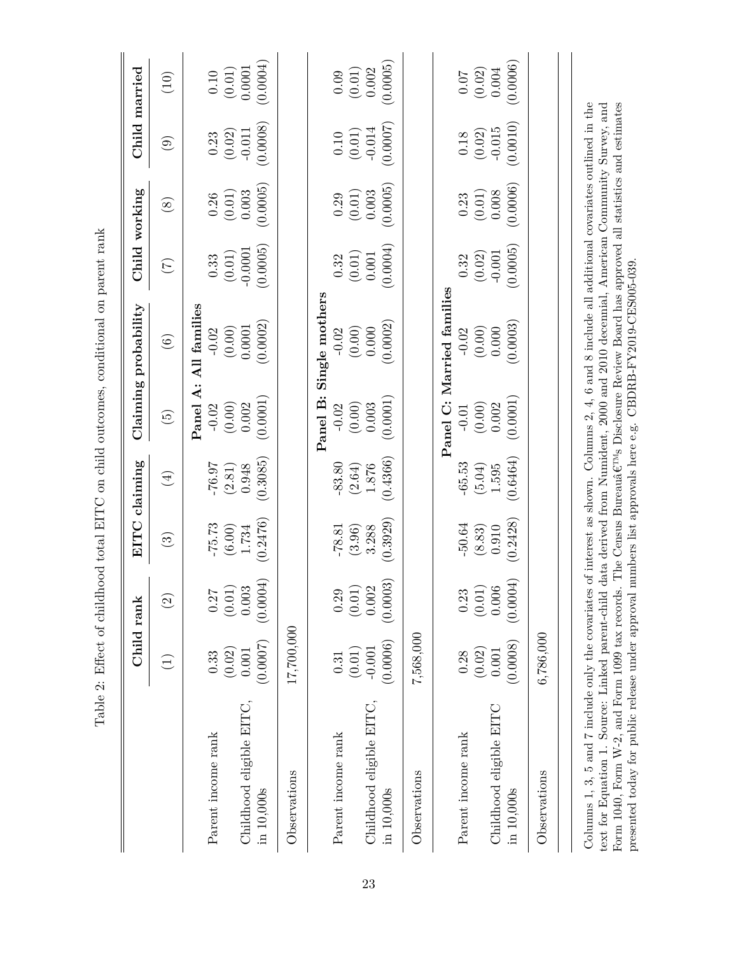|                                                                                                                                                                                                                        |                 | Child rank         |                        | EITC claiming |                 | Claiming probability                                                                |                 | Child working | Child married          |                      |
|------------------------------------------------------------------------------------------------------------------------------------------------------------------------------------------------------------------------|-----------------|--------------------|------------------------|---------------|-----------------|-------------------------------------------------------------------------------------|-----------------|---------------|------------------------|----------------------|
|                                                                                                                                                                                                                        | $\widehat{\Xi}$ | $\widehat{\Omega}$ | $\widehat{\mathbb{G}}$ | $\bigoplus$   | $\widetilde{5}$ | $\widehat{\odot}$                                                                   | $\widetilde{C}$ | $\circledast$ | $\widehat{\mathbf{e}}$ | (10)                 |
|                                                                                                                                                                                                                        |                 |                    |                        |               | Panel A:        | All families                                                                        |                 |               |                        |                      |
| Parent income rank                                                                                                                                                                                                     | 0.33            | 0.27               | $-75.73$               | 76.97         | $-0.02$         | $-0.02$                                                                             | 0.33            | 0.26          | 0.23                   | 0.10                 |
|                                                                                                                                                                                                                        | (0.02)          | (0.01)             | (6.00)                 | (2.81)        | (0.00)          | (0.00)                                                                              | (0.01)          | (0.01)        | (0.02)                 | $\left( 0.01\right)$ |
| Childhood eligible EITC,                                                                                                                                                                                               | 0.001           | 0.003              | 1.734                  | 0.948         | 0.002           | 0.0001                                                                              | $-0.0001$       | 0.003         | $-0.011$               | 0.0001               |
| in 10,000s                                                                                                                                                                                                             | (0.0007)        | (0.0004)           | (0.2476)               | (0.3085)      | (0.0001)        | (0.0002)                                                                            | (0.0005)        | (0.0005)      | (0.0008)               | (0.0004)             |
| Observations                                                                                                                                                                                                           | 17,700,000      |                    |                        |               |                 |                                                                                     |                 |               |                        |                      |
|                                                                                                                                                                                                                        |                 |                    |                        |               |                 | Panel B: Single mothers                                                             |                 |               |                        |                      |
| Parent income rank                                                                                                                                                                                                     | 0.31            | 0.29               | $-78.81$               | $-83.80$      | $-0.02$         | $-0.02$                                                                             | 0.32            | 0.29          | 0.10                   | 0.09                 |
|                                                                                                                                                                                                                        | (0.01)          | (0.01)             | (3.96)                 | (2.64)        | (0.00)          | (0.00)                                                                              | (0.01)          | (0.01)        | (0.01)                 | (0.01)               |
| Childhood eligible EITC,                                                                                                                                                                                               | $-0.001$        | 0.002              | 3.288                  | 1.876         | 0.003           | 0.000                                                                               | 0.001           | 0.003         | $-0.014$               | 0.002                |
| in 10,000s                                                                                                                                                                                                             | (0.0006)        | (0.0003)           | (0.3929)               | (0.4366)      | (0.0001)        | (0.0002)                                                                            | (0.0004)        | (0.0005)      | (0.0007)               | (0.0005)             |
| Observations                                                                                                                                                                                                           | 7,568,000       |                    |                        |               |                 |                                                                                     |                 |               |                        |                      |
|                                                                                                                                                                                                                        |                 |                    |                        |               | Panel C:        | Married families                                                                    |                 |               |                        |                      |
| Parent income rank                                                                                                                                                                                                     | 0.28            | 0.23               | $-50.64$               | $-65.53$      | $-0.01$         | $-0.02$                                                                             | 0.32            | 0.23          | $0.18\,$               | 10.07                |
|                                                                                                                                                                                                                        | (0.02)          | (0.01)             | (8.83)                 | (5.04)        | (0.00)          | (0.00)                                                                              | (0.02)          | (0.01)        | (0.02)                 | (0.02)               |
| Childhood eligible EITC                                                                                                                                                                                                | 0.001           | 0.006              | 0.910                  | 1.595         | 0.002           | 0.000                                                                               | $-0.001$        | 0.008         | $-0.015$               | 0.004                |
| in 10,000s                                                                                                                                                                                                             | (0.0008)        | (0.0004)           | 0.2428                 | (0.6464)      | (0.0001)        | (0.0003)                                                                            | (0.0005)        | (0.0006)      | (0.0010)               | (0.0006)             |
| Observations                                                                                                                                                                                                           | 6,786,000       |                    |                        |               |                 |                                                                                     |                 |               |                        |                      |
|                                                                                                                                                                                                                        |                 |                    |                        |               |                 |                                                                                     |                 |               |                        |                      |
| Columns 1, 3, 5 and 7 include only the covariates of interest as shown. Columns 2, 4, 6 and 8 include all additional covariates outlined in the<br>text for Equation 1. Source: Linked parent-child                    |                 |                    |                        |               |                 | data derived from Numident, 2000 and 2010 decennial, American Community Survey, and |                 |               |                        |                      |
| Form 1040, Form W-2, and Form 1099 tax records. The Census Bureaua $\varepsilon^{\text{rms}}$ s Disclosure Review Board has approved all statistics and estimates<br>presented today for public release under approval |                 |                    |                        |               |                 | numbers list approvals here e.g. CBDRB-FY2019-CES005-039                            |                 |               |                        |                      |

Table 2: Effect of childhood total EITC on child outcomes, conditional on parent rank Table 2: Effect of childhood total EITC on child outcomes, conditional on parent rank